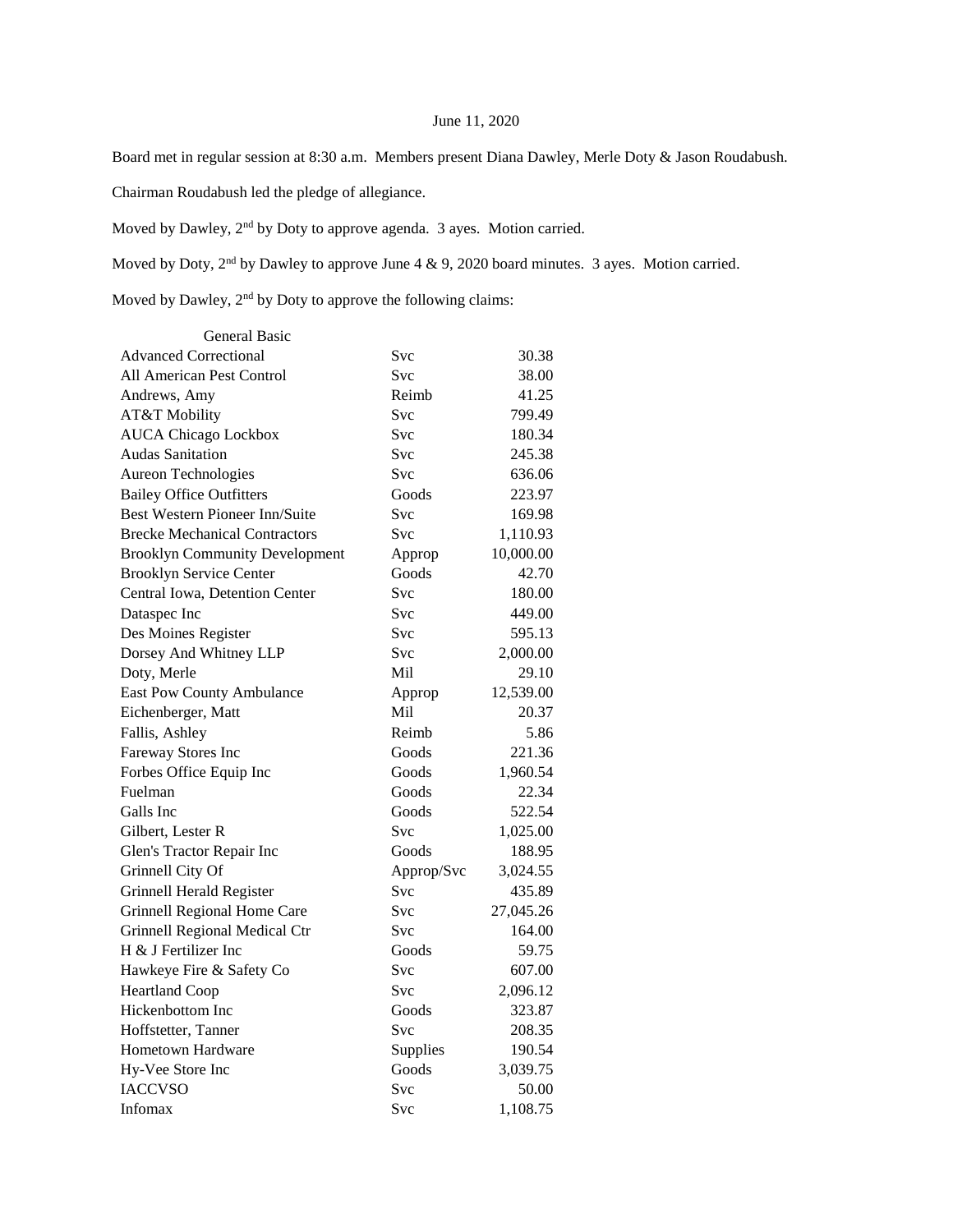## June 11, 2020

Board met in regular session at 8:30 a.m. Members present Diana Dawley, Merle Doty & Jason Roudabush.

Chairman Roudabush led the pledge of allegiance.

Moved by Dawley, 2nd by Doty to approve agenda. 3 ayes. Motion carried.

Moved by Doty, 2<sup>nd</sup> by Dawley to approve June 4 & 9, 2020 board minutes. 3 ayes. Motion carried.

Moved by Dawley, 2<sup>nd</sup> by Doty to approve the following claims:

| General Basic                         |            |           |
|---------------------------------------|------------|-----------|
| <b>Advanced Correctional</b>          | Svc        | 30.38     |
| <b>All American Pest Control</b>      | <b>Svc</b> | 38.00     |
| Andrews, Amy                          | Reimb      | 41.25     |
| AT&T Mobility                         | <b>Svc</b> | 799.49    |
| <b>AUCA Chicago Lockbox</b>           | <b>Svc</b> | 180.34    |
| <b>Audas Sanitation</b>               | <b>Svc</b> | 245.38    |
| Aureon Technologies                   | Svc        | 636.06    |
| <b>Bailey Office Outfitters</b>       | Goods      | 223.97    |
| <b>Best Western Pioneer Inn/Suite</b> | <b>Svc</b> | 169.98    |
| <b>Brecke Mechanical Contractors</b>  | Svc        | 1,110.93  |
| <b>Brooklyn Community Development</b> | Approp     | 10,000.00 |
| <b>Brooklyn Service Center</b>        | Goods      | 42.70     |
| Central Iowa, Detention Center        | Svc        | 180.00    |
| Dataspec Inc                          | Svc        | 449.00    |
| Des Moines Register                   | Svc        | 595.13    |
| Dorsey And Whitney LLP                | Svc        | 2,000.00  |
| Doty, Merle                           | Mil        | 29.10     |
| <b>East Pow County Ambulance</b>      | Approp     | 12,539.00 |
| Eichenberger, Matt                    | Mil        | 20.37     |
| Fallis, Ashley                        | Reimb      | 5.86      |
| Fareway Stores Inc                    | Goods      | 221.36    |
| Forbes Office Equip Inc               | Goods      | 1,960.54  |
| Fuelman                               | Goods      | 22.34     |
| Galls Inc                             | Goods      | 522.54    |
| Gilbert, Lester R                     | Svc        | 1,025.00  |
| Glen's Tractor Repair Inc             | Goods      | 188.95    |
| Grinnell City Of                      | Approp/Svc | 3,024.55  |
| Grinnell Herald Register              | <b>Svc</b> | 435.89    |
| Grinnell Regional Home Care           | <b>Svc</b> | 27,045.26 |
| Grinnell Regional Medical Ctr         | <b>Svc</b> | 164.00    |
| H & J Fertilizer Inc                  | Goods      | 59.75     |
| Hawkeye Fire & Safety Co              | Svc        | 607.00    |
| <b>Heartland Coop</b>                 | Svc        | 2,096.12  |
| Hickenbottom Inc                      | Goods      | 323.87    |
| Hoffstetter, Tanner                   | Svc        | 208.35    |
| <b>Hometown Hardware</b>              | Supplies   | 190.54    |
| Hy-Vee Store Inc                      | Goods      | 3,039.75  |
| <b>IACCVSO</b>                        | Svc        | 50.00     |
| Infomax                               | <b>Svc</b> | 1,108.75  |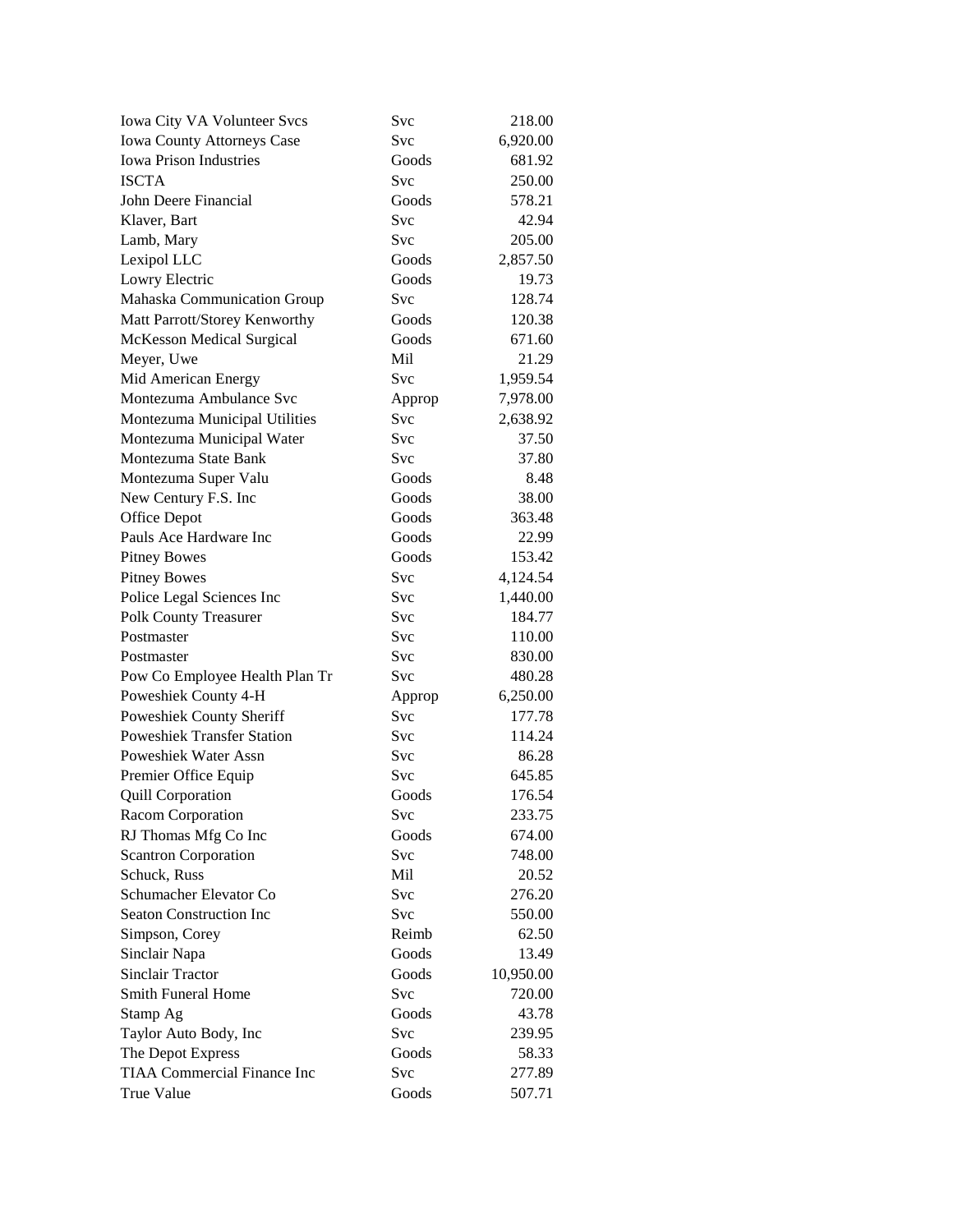| Iowa City VA Volunteer Svcs        | Svc        | 218.00    |
|------------------------------------|------------|-----------|
| Iowa County Attorneys Case         | Svc        | 6,920.00  |
| <b>Iowa Prison Industries</b>      | Goods      | 681.92    |
| <b>ISCTA</b>                       | Svc        | 250.00    |
| John Deere Financial               | Goods      | 578.21    |
| Klaver, Bart                       | Svc        | 42.94     |
| Lamb, Mary                         | Svc        | 205.00    |
| Lexipol LLC                        | Goods      | 2,857.50  |
| Lowry Electric                     | Goods      | 19.73     |
| Mahaska Communication Group        | Svc        | 128.74    |
| Matt Parrott/Storey Kenworthy      | Goods      | 120.38    |
| <b>McKesson Medical Surgical</b>   | Goods      | 671.60    |
| Meyer, Uwe                         | Mil        | 21.29     |
| Mid American Energy                | <b>Svc</b> | 1,959.54  |
| Montezuma Ambulance Svc            | Approp     | 7,978.00  |
| Montezuma Municipal Utilities      | Svc        | 2,638.92  |
| Montezuma Municipal Water          | Svc        | 37.50     |
| Montezuma State Bank               | Svc        | 37.80     |
| Montezuma Super Valu               | Goods      | 8.48      |
| New Century F.S. Inc               | Goods      | 38.00     |
| Office Depot                       | Goods      | 363.48    |
| Pauls Ace Hardware Inc             | Goods      | 22.99     |
| <b>Pitney Bowes</b>                | Goods      | 153.42    |
| <b>Pitney Bowes</b>                | Svc        | 4,124.54  |
| Police Legal Sciences Inc          | Svc        | 1,440.00  |
| Polk County Treasurer              | Svc        | 184.77    |
| Postmaster                         | Svc        | 110.00    |
| Postmaster                         | Svc        | 830.00    |
| Pow Co Employee Health Plan Tr     | Svc        | 480.28    |
| Poweshiek County 4-H               | Approp     | 6,250.00  |
| Poweshiek County Sheriff           | Svc        | 177.78    |
| <b>Poweshiek Transfer Station</b>  | Svc        | 114.24    |
| <b>Poweshiek Water Assn</b>        | Svc        | 86.28     |
| Premier Office Equip               | Svc        | 645.85    |
| <b>Quill Corporation</b>           | Goods      | 176.54    |
| Racom Corporation                  | Svc        | 233.75    |
| RJ Thomas Mfg Co Inc               | Goods      | 674.00    |
| <b>Scantron Corporation</b>        | Svc        | 748.00    |
| Schuck, Russ                       | Mil        | 20.52     |
| Schumacher Elevator Co             | Svc        | 276.20    |
| <b>Seaton Construction Inc</b>     | Svc        | 550.00    |
| Simpson, Corey                     | Reimb      | 62.50     |
| Sinclair Napa                      | Goods      | 13.49     |
| <b>Sinclair Tractor</b>            | Goods      | 10,950.00 |
| <b>Smith Funeral Home</b>          | Svc        | 720.00    |
| Stamp Ag                           | Goods      | 43.78     |
| Taylor Auto Body, Inc              | Svc        | 239.95    |
| The Depot Express                  | Goods      | 58.33     |
| <b>TIAA Commercial Finance Inc</b> | Svc        | 277.89    |
| True Value                         | Goods      | 507.71    |
|                                    |            |           |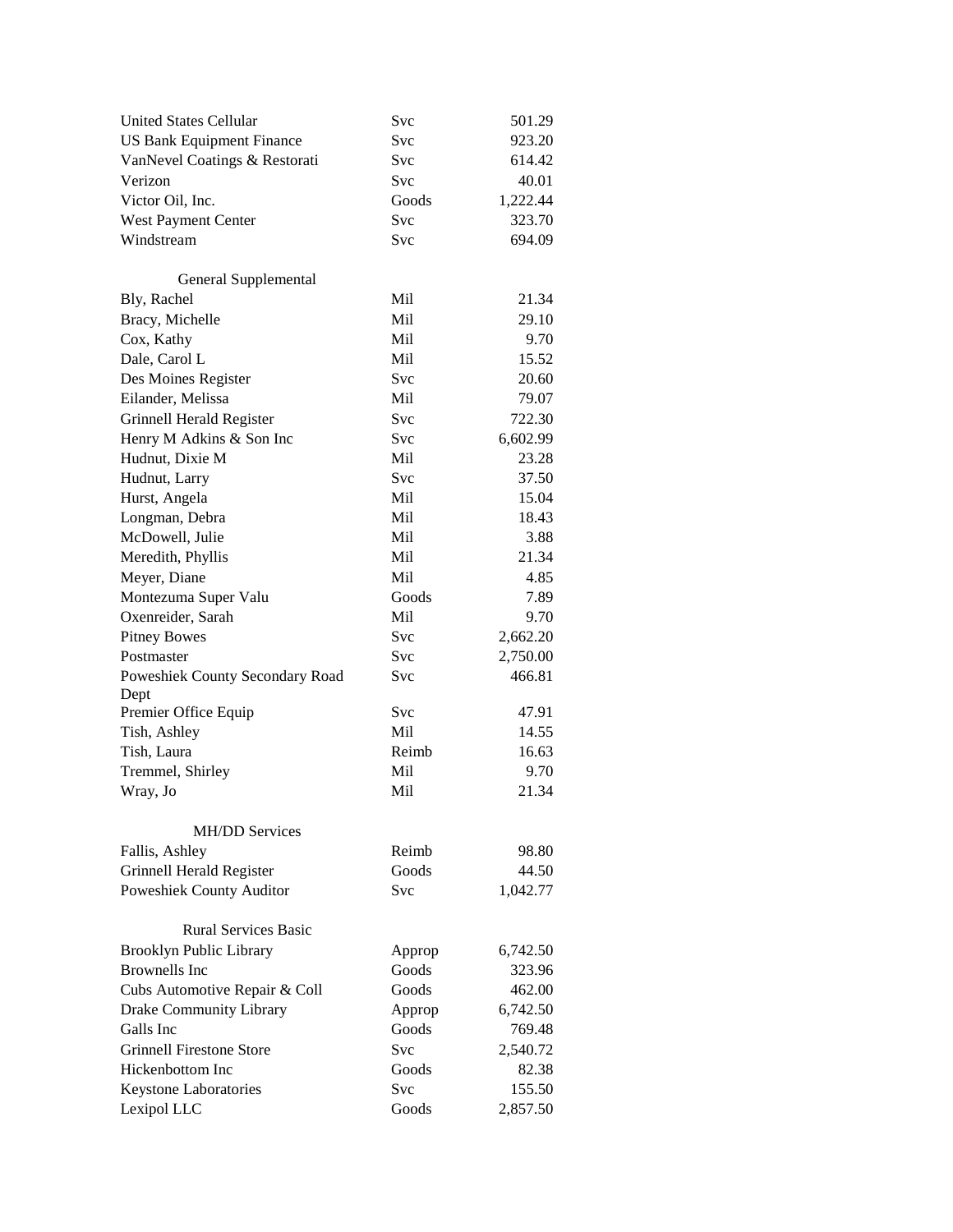| <b>United States Cellular</b>    | Svc        | 501.29   |
|----------------------------------|------------|----------|
| <b>US Bank Equipment Finance</b> | Svc        | 923.20   |
| VanNevel Coatings & Restorati    | Svc        | 614.42   |
| Verizon                          | Svc        | 40.01    |
| Victor Oil, Inc.                 | Goods      | 1,222.44 |
| West Payment Center              | <b>Svc</b> | 323.70   |
| Windstream                       | Svc        | 694.09   |
|                                  |            |          |
| General Supplemental             |            |          |
| Bly, Rachel                      | Mil        | 21.34    |
| Bracy, Michelle                  | Mil        | 29.10    |
| Cox, Kathy                       | Mil        | 9.70     |
| Dale, Carol L                    | Mil        | 15.52    |
| Des Moines Register              | Svc        | 20.60    |
| Eilander, Melissa                | Mil        | 79.07    |
| Grinnell Herald Register         | Svc        | 722.30   |
| Henry M Adkins & Son Inc         | <b>Svc</b> | 6,602.99 |
| Hudnut, Dixie M                  | Mil        | 23.28    |
| Hudnut, Larry                    | Svc        | 37.50    |
| Hurst, Angela                    | Mil        | 15.04    |
| Longman, Debra                   | Mil        | 18.43    |
| McDowell, Julie                  | Mil        | 3.88     |
| Meredith, Phyllis                | Mil        | 21.34    |
| Meyer, Diane                     | Mil        | 4.85     |
| Montezuma Super Valu             | Goods      | 7.89     |
| Oxenreider, Sarah                | Mil        | 9.70     |
| <b>Pitney Bowes</b>              | Svc        | 2,662.20 |
| Postmaster                       | Svc        | 2,750.00 |
| Poweshiek County Secondary Road  | Svc        | 466.81   |
| Dept                             |            |          |
| Premier Office Equip             | Svc        | 47.91    |
| Tish, Ashley                     | Mil        | 14.55    |
| Tish, Laura                      | Reimb      | 16.63    |
| Tremmel, Shirley                 | Mil        | 9.70     |
| Wray, Jo                         | Mil        | 21.34    |
|                                  |            |          |
| <b>MH/DD Services</b>            |            |          |
| Fallis, Ashley                   | Reimb      | 98.80    |
| Grinnell Herald Register         | Goods      | 44.50    |
| Poweshiek County Auditor         | Svc        | 1,042.77 |
|                                  |            |          |
| <b>Rural Services Basic</b>      |            |          |
| <b>Brooklyn Public Library</b>   | Approp     | 6,742.50 |
| <b>Brownells</b> Inc             | Goods      | 323.96   |
| Cubs Automotive Repair & Coll    | Goods      | 462.00   |
| Drake Community Library          | Approp     | 6,742.50 |
| Galls Inc                        | Goods      | 769.48   |
| <b>Grinnell Firestone Store</b>  | Svc        | 2,540.72 |
| Hickenbottom Inc                 | Goods      | 82.38    |
| Keystone Laboratories            | Svc        | 155.50   |
| Lexipol LLC                      | Goods      | 2,857.50 |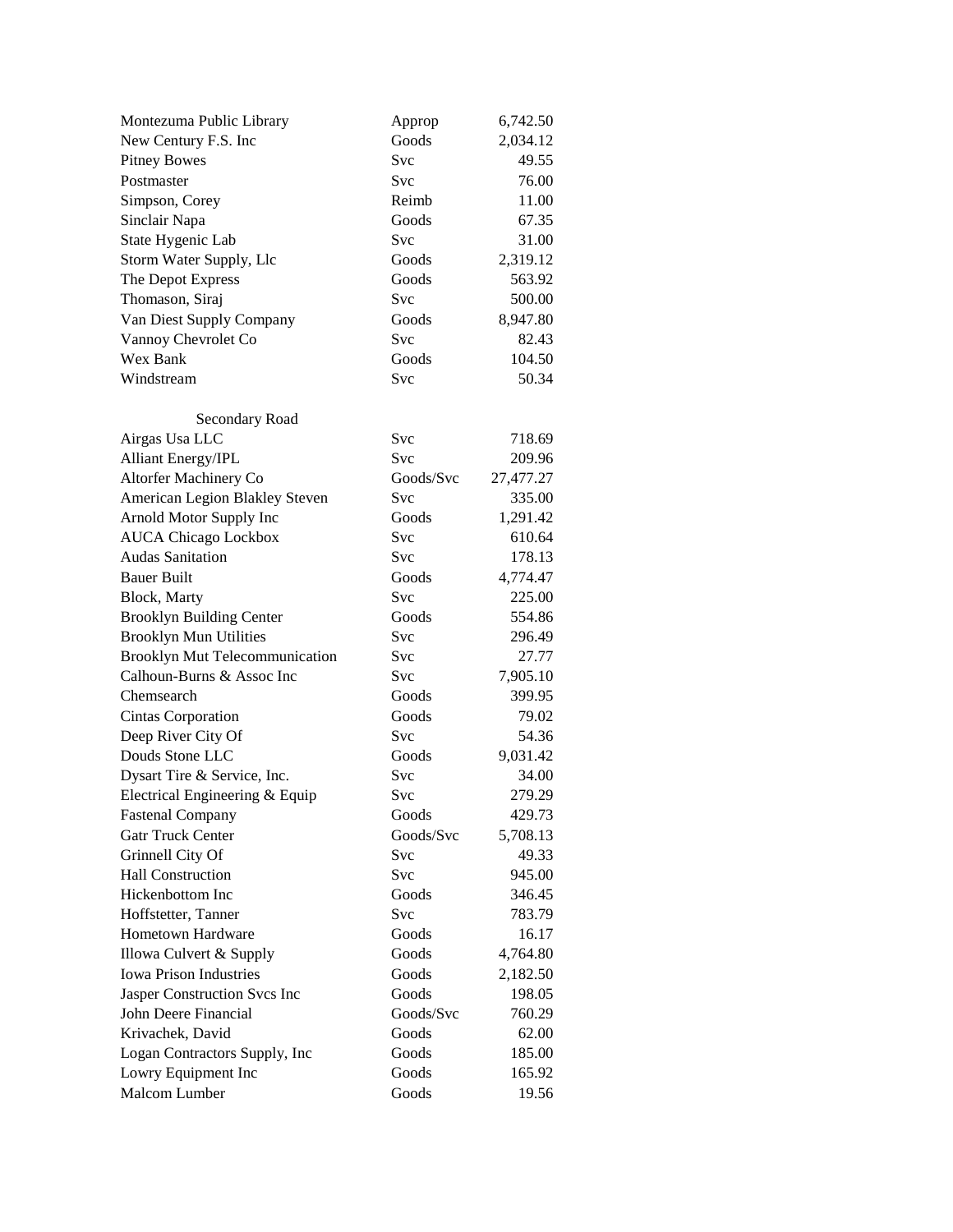| Montezuma Public Library                | Approp       | 6,742.50  |
|-----------------------------------------|--------------|-----------|
| New Century F.S. Inc                    | Goods        | 2,034.12  |
| <b>Pitney Bowes</b>                     | Svc          | 49.55     |
| Postmaster                              | Svc          | 76.00     |
| Simpson, Corey                          | Reimb        | 11.00     |
| Sinclair Napa                           | Goods        | 67.35     |
| State Hygenic Lab                       | Svc          | 31.00     |
| Storm Water Supply, Llc                 | Goods        | 2,319.12  |
| The Depot Express                       | Goods        | 563.92    |
| Thomason, Siraj                         | Svc          | 500.00    |
| Van Diest Supply Company                | Goods        | 8,947.80  |
| Vannoy Chevrolet Co                     | <b>Svc</b>   | 82.43     |
| Wex Bank                                | Goods        | 104.50    |
| Windstream                              | Svc          | 50.34     |
|                                         |              |           |
| Secondary Road                          |              |           |
| Airgas Usa LLC                          | Svc          | 718.69    |
| <b>Alliant Energy/IPL</b>               | Svc          | 209.96    |
| Altorfer Machinery Co                   | Goods/Svc    | 27,477.27 |
| American Legion Blakley Steven          | Svc          | 335.00    |
| Arnold Motor Supply Inc                 | Goods        | 1,291.42  |
| <b>AUCA Chicago Lockbox</b>             | Svc          | 610.64    |
| <b>Audas Sanitation</b>                 | Svc          | 178.13    |
| <b>Bauer Built</b>                      | Goods        | 4,774.47  |
| Block, Marty                            | Svc          | 225.00    |
| <b>Brooklyn Building Center</b>         | Goods        | 554.86    |
| <b>Brooklyn Mun Utilities</b>           | Svc          | 296.49    |
|                                         | Svc          |           |
| <b>Brooklyn Mut Telecommunication</b>   |              | 27.77     |
| Calhoun-Burns & Assoc Inc<br>Chemsearch | Svc<br>Goods | 7,905.10  |
|                                         |              | 399.95    |
| Cintas Corporation                      | Goods        | 79.02     |
| Deep River City Of                      | Svc          | 54.36     |
| Douds Stone LLC                         | Goods        | 9,031.42  |
| Dysart Tire & Service, Inc.             | Svc          | 34.00     |
| Electrical Engineering & Equip          | Svc          | 279.29    |
| <b>Fastenal Company</b>                 | Goods        | 429.73    |
| <b>Gatr Truck Center</b>                | Goods/Svc    | 5,708.13  |
| Grinnell City Of                        | Svc          | 49.33     |
| <b>Hall Construction</b>                | Svc          | 945.00    |
| Hickenbottom Inc                        | Goods        | 346.45    |
| Hoffstetter, Tanner                     | Svc          | 783.79    |
| Hometown Hardware                       | Goods        | 16.17     |
| Illowa Culvert & Supply                 | Goods        | 4,764.80  |
| <b>Iowa Prison Industries</b>           | Goods        | 2,182.50  |
| Jasper Construction Svcs Inc            | Goods        | 198.05    |
| John Deere Financial                    | Goods/Svc    | 760.29    |
| Krivachek, David                        | Goods        | 62.00     |
| Logan Contractors Supply, Inc           | Goods        | 185.00    |
| Lowry Equipment Inc                     | Goods        | 165.92    |
| Malcom Lumber                           | Goods        | 19.56     |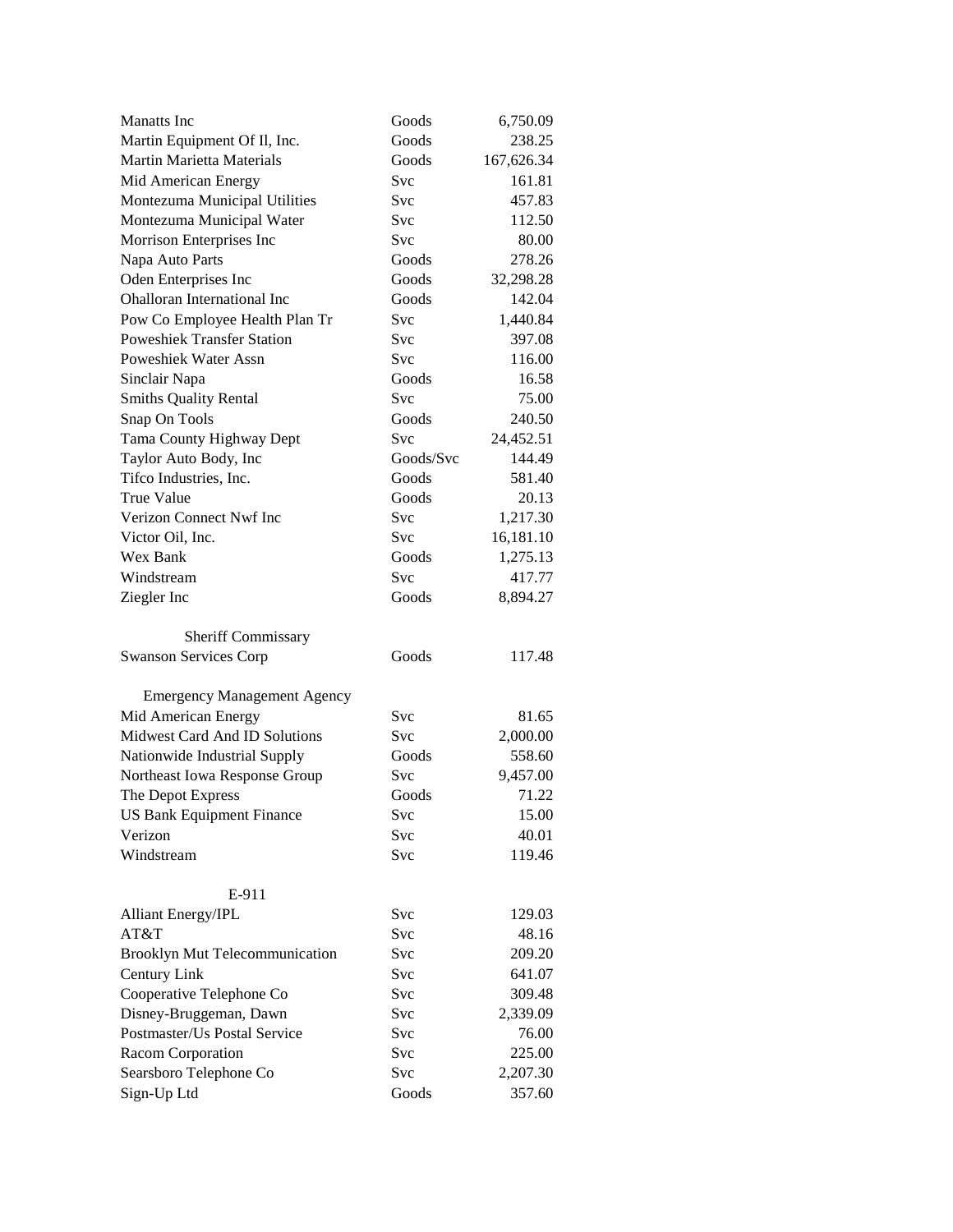| <b>Manatts</b> Inc                    | Goods        | 6,750.09           |
|---------------------------------------|--------------|--------------------|
| Martin Equipment Of Il, Inc.          | Goods        | 238.25             |
| <b>Martin Marietta Materials</b>      | Goods        | 167,626.34         |
| Mid American Energy                   | Svc          | 161.81             |
| Montezuma Municipal Utilities         | Svc          | 457.83             |
| Montezuma Municipal Water             | Svc          | 112.50             |
| Morrison Enterprises Inc              | Svc          | 80.00              |
| Napa Auto Parts                       | Goods        | 278.26             |
| Oden Enterprises Inc                  | Goods        | 32,298.28          |
| Ohalloran International Inc           | Goods        | 142.04             |
| Pow Co Employee Health Plan Tr        | Svc          | 1,440.84           |
| <b>Poweshiek Transfer Station</b>     | Svc          | 397.08             |
| <b>Poweshiek Water Assn</b>           | <b>Svc</b>   | 116.00             |
| Sinclair Napa                         | Goods        | 16.58              |
| <b>Smiths Quality Rental</b>          | Svc          | 75.00              |
| Snap On Tools                         | Goods        | 240.50             |
| Tama County Highway Dept              | Svc          | 24,452.51          |
| Taylor Auto Body, Inc                 | Goods/Svc    | 144.49             |
| Tifco Industries, Inc.                | Goods        | 581.40             |
| <b>True Value</b>                     | Goods        | 20.13              |
| Verizon Connect Nwf Inc               | Svc          | 1,217.30           |
| Victor Oil, Inc.                      | <b>Svc</b>   | 16,181.10          |
| Wex Bank                              | Goods        | 1,275.13           |
| Windstream                            | Svc          | 417.77             |
| Ziegler Inc                           | Goods        | 8,894.27           |
|                                       |              |                    |
| <b>Sheriff Commissary</b>             |              |                    |
| <b>Swanson Services Corp</b>          | Goods        | 117.48             |
|                                       |              |                    |
|                                       |              |                    |
| <b>Emergency Management Agency</b>    |              |                    |
| Mid American Energy                   | Svc          | 81.65              |
| Midwest Card And ID Solutions         | Svc          | 2,000.00           |
| Nationwide Industrial Supply          | Goods        | 558.60             |
| Northeast Iowa Response Group         | Svc          | 9,457.00           |
| The Depot Express                     | Goods        | 71.22              |
| <b>US Bank Equipment Finance</b>      | Svc          | 15.00              |
| Verizon                               | Svc          | 40.01              |
| Windstream                            | Svc          | 119.46             |
|                                       |              |                    |
| E-911                                 |              |                    |
| <b>Alliant Energy/IPL</b>             | Svc          | 129.03             |
| AT&T                                  | Svc          | 48.16              |
| <b>Brooklyn Mut Telecommunication</b> | <b>Svc</b>   | 209.20             |
| Century Link                          | Svc          | 641.07             |
| Cooperative Telephone Co              | <b>Svc</b>   | 309.48             |
| Disney-Bruggeman, Dawn                | <b>Svc</b>   | 2,339.09           |
| Postmaster/Us Postal Service          | Svc          | 76.00              |
| Racom Corporation                     | Svc          | 225.00             |
| Searsboro Telephone Co<br>Sign-Up Ltd | Svc<br>Goods | 2,207.30<br>357.60 |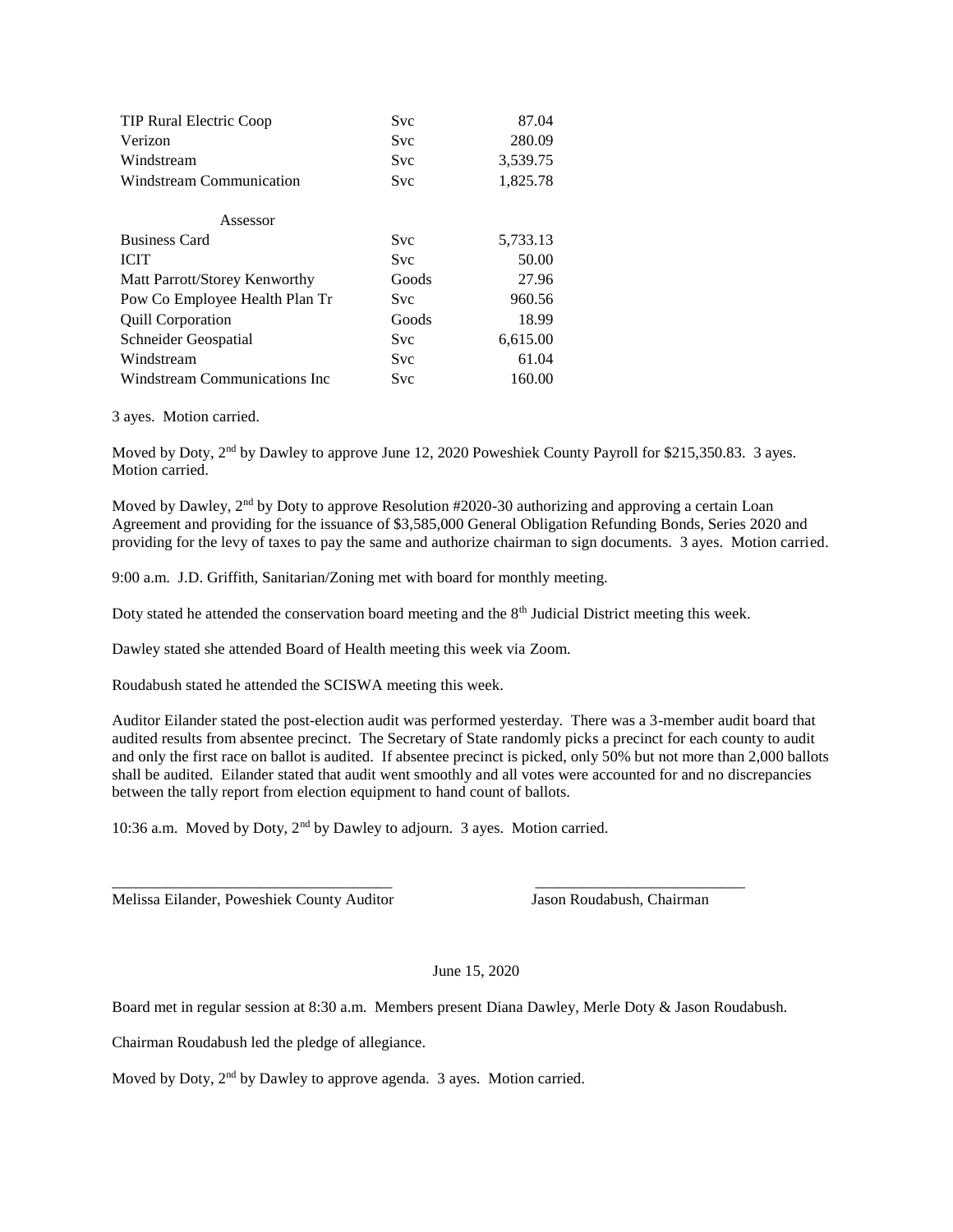| TIP Rural Electric Coop        | <b>Svc</b> | 87.04    |
|--------------------------------|------------|----------|
| Verizon                        | <b>Svc</b> | 280.09   |
| Windstream                     | Svc        | 3,539.75 |
| Windstream Communication       | <b>Svc</b> | 1,825.78 |
| Assessor                       |            |          |
| <b>Business Card</b>           | <b>Svc</b> | 5,733.13 |
| <b>ICIT</b>                    | <b>Svc</b> | 50.00    |
| Matt Parrott/Storey Kenworthy  | Goods      | 27.96    |
| Pow Co Employee Health Plan Tr | Svc        | 960.56   |
| <b>Quill Corporation</b>       | Goods      | 18.99    |
| Schneider Geospatial           | Svc        | 6,615.00 |
| Windstream                     | <b>Svc</b> | 61.04    |
| Windstream Communications Inc  | Svc        | 160.00   |

3 ayes. Motion carried.

Moved by Doty, 2<sup>nd</sup> by Dawley to approve June 12, 2020 Poweshiek County Payroll for \$215,350.83. 3 ayes. Motion carried.

Moved by Dawley,  $2<sup>nd</sup>$  by Doty to approve Resolution #2020-30 authorizing and approving a certain Loan Agreement and providing for the issuance of \$3,585,000 General Obligation Refunding Bonds, Series 2020 and providing for the levy of taxes to pay the same and authorize chairman to sign documents. 3 ayes. Motion carried.

9:00 a.m. J.D. Griffith, Sanitarian/Zoning met with board for monthly meeting.

Doty stated he attended the conservation board meeting and the  $8<sup>th</sup>$  Judicial District meeting this week.

Dawley stated she attended Board of Health meeting this week via Zoom.

Roudabush stated he attended the SCISWA meeting this week.

Auditor Eilander stated the post-election audit was performed yesterday. There was a 3-member audit board that audited results from absentee precinct. The Secretary of State randomly picks a precinct for each county to audit and only the first race on ballot is audited. If absentee precinct is picked, only 50% but not more than 2,000 ballots shall be audited. Eilander stated that audit went smoothly and all votes were accounted for and no discrepancies between the tally report from election equipment to hand count of ballots.

10:36 a.m. Moved by Doty, 2nd by Dawley to adjourn. 3 ayes. Motion carried.

Melissa Eilander, Poweshiek County Auditor Jason Roudabush, Chairman

June 15, 2020

Board met in regular session at 8:30 a.m. Members present Diana Dawley, Merle Doty & Jason Roudabush.

\_\_\_\_\_\_\_\_\_\_\_\_\_\_\_\_\_\_\_\_\_\_\_\_\_\_\_\_\_\_\_\_\_\_\_\_ \_\_\_\_\_\_\_\_\_\_\_\_\_\_\_\_\_\_\_\_\_\_\_\_\_\_\_

Chairman Roudabush led the pledge of allegiance.

Moved by Doty, 2<sup>nd</sup> by Dawley to approve agenda. 3 ayes. Motion carried.